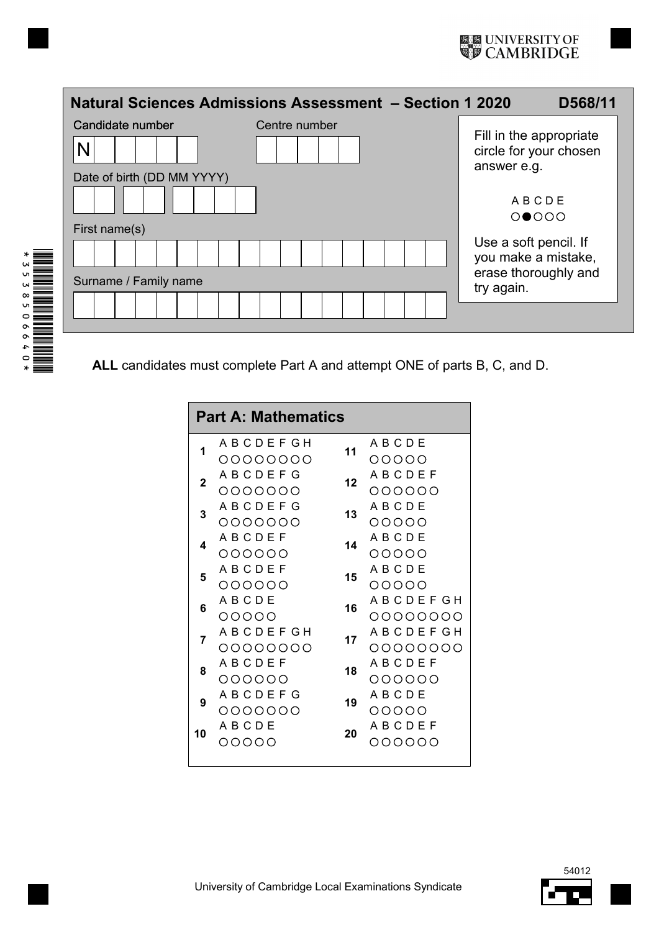|                                        | Natural Sciences Admissions Assessment - Section 1 2020                            | D568/11                                           |
|----------------------------------------|------------------------------------------------------------------------------------|---------------------------------------------------|
| Candidate number<br>N                  | Centre number                                                                      | Fill in the appropriate<br>circle for your chosen |
| Date of birth (DD MM YYYY)             |                                                                                    | answer e.g.<br>ABCDE<br>$O \bigcirc O$            |
| First name(s)<br>Surname / Family name | Use a soft pencil. If<br>you make a mistake,<br>erase thoroughly and<br>try again. |                                                   |
|                                        |                                                                                    |                                                   |

**ALL** candidates must complete Part A and attempt ONE of parts B, C, and D.

| <b>Part A: Mathematics</b> |                 |    |                 |  |  |  |  |  |
|----------------------------|-----------------|----|-----------------|--|--|--|--|--|
| 1                          | A B C D E F G H | 11 | ABCDE           |  |  |  |  |  |
|                            | 00000000        |    | 00000           |  |  |  |  |  |
| 2                          | A B C D E F G   | 12 | A B C D E F     |  |  |  |  |  |
|                            | 0000000         |    | 000000          |  |  |  |  |  |
| 3                          | A B C D E F G   | 13 | ABCDE           |  |  |  |  |  |
|                            | 0000000         |    | 00000           |  |  |  |  |  |
| 4                          | ABCDEF          | 14 | ABCDE           |  |  |  |  |  |
|                            | 000000          |    | 00000           |  |  |  |  |  |
| 5                          | ABCDEF          | 15 | ABCDE           |  |  |  |  |  |
|                            | 000000          |    | 00000           |  |  |  |  |  |
| 6                          | ABCDE           | 16 | A B C D E F G H |  |  |  |  |  |
|                            | 00000           |    | 00000000        |  |  |  |  |  |
| 7                          | A B C D E F G H | 17 | A B C D E F G H |  |  |  |  |  |
|                            | 00000000        |    | 00000000        |  |  |  |  |  |
| 8                          | ABCDEF          | 18 | ABCDEF          |  |  |  |  |  |
|                            | 000000          |    | 000000          |  |  |  |  |  |
| 9                          | A B C D E F G   | 19 | ABCDE           |  |  |  |  |  |
|                            | 0000000         |    | 00000           |  |  |  |  |  |
| 10                         | A B C D E       | 20 | ABCDEF          |  |  |  |  |  |
|                            | NNNUU           |    | NOOOOO          |  |  |  |  |  |
|                            |                 |    |                 |  |  |  |  |  |